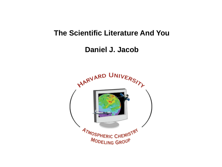### **The Scientific Literature And You**

# **Daniel J. Jacob**

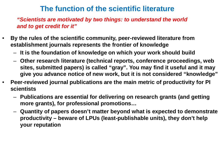## **The function of the scientific literature**

*"Scientists are motivated by two things: to understand the world and to get credit for it"*

- **By the rules of the scientific community, peer-reviewed literature from establishment journals represents the frontier of knowledge**
	- **It is the foundation of knowledge on which your work should build**
	- **Other research literature (technical reports, conference proceedings, web sites, submitted papers) is called "gray". You may find it useful and it may give you advance notice of new work, but it is not considered "knowledge"**
- **Peer-reviewed journal publications are the main metric of productivity for PI scientists**
	- **Publications are essential for delivering on research grants (and getting more grants), for professional promotions…**
	- **Quantity of papers doesn't matter beyond what is expected to demonstrate productivity – beware of LPUs (least-publishable units), they don't help your reputation**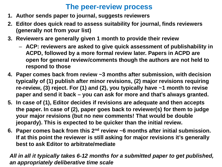## **The peer-review process**

- **1. Author sends paper to journal, suggests reviewers**
- **2. Editor does quick read to assess suitability for journal, finds reviewers (generally not from your list)**
- **3. Reviewers are generally given 1 month to provide their review**
	- **ACP: reviewers are asked to give quick assessment of publishability in ACPD, followed by a more formal review later. Papers in ACPD are open for general review/comments though the authors are not held to respond to those**
- **4. Paper comes back from review ~3 months after submission, with decision typically of (1) publish after minor revisions, (2) major revisions requiring re-review, (3) reject. For (1) and (2), you typically have ~1 month to revise paper and send it back – you can ask for more and that's always granted.**
- **5. In case of (1), Editor decides if revisions are adequate and then accepts the paper. In case of (2), paper goes back to reviewer(s) for them to judge your major revisions (but no new comments! That would be double jeopardy). This is expected to be quicker than the initial review.**
- **6. Paper comes back from this 2nd review ~6 months after initial submission. If at this point the reviewer is still asking for major revisions it's generally best to ask Editor to arbitrate/mediate**

*All in all it typically takes 6-12 months for a submitted paper to get published, an appropriately deliberative time scale*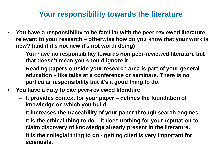## **Your responsibility towards the literature**

- **You have a responsibility to be familiar with the peer-reviewed literature relevant to your research – otherwise how do you know that your work is new? (and if it's not new it's not worth doing)**
	- **You have no responsibility towards non peer-reviewed literature but that doesn't mean you should ignore it**
	- **Reading papers outside your research area is part of your general education – like talks at a conference or seminars. There is no particular responsibility but it's a good thing to do.**
- **You have a duty to cite peer-reviewed literature**
	- **It provides context for your paper – defines the foundation of knowledge on which you build**
	- **It increases the traceability of your paper through search engines**
	- **It is the ethical thing to do – it does nothing for your reputation to claim discovery of knowledge already present in the literature.**
	- **It is the collegial thing to do - getting cited is very important for scientists.**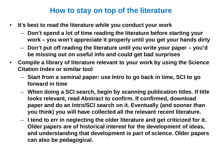## **How to stay on top of the literature**

- **It's best to read the literature** *while* **you conduct your work**
	- **Don't spend a lot of time reading the literature before starting your work – you won't appreciate it properly until you get your hands dirty**
	- **Don't put off reading the literature until you write your paper – you'd be missing out on useful info and could get bad surprises**
- **Compile a library of literature relevant to your work by using the Science Citation Index or similar tool**
	- **Start from a seminal paper: use Intro to go back in time, SCI to go forward in time**
	- **When doing a SCI search, begin by scanning publication titles. If title looks relevant, read Abstract to confirm. If confirmed, download paper and do an Intro/SCI search on it. Eventually (and sooner than you think) you will have collected all the relevant recent literature.**
	- **I tend to err in neglecting the older literature and get criticized for it. Older papers are of historical interest for the development of ideas, and understanding that development is part of science. Older papers can also be pedagogical.**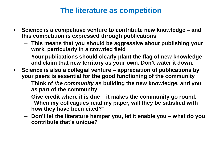## **The literature as competition**

- **Science is a competitive venture to contribute new knowledge – and this competition is expressed through publications**
	- **This means that you should be aggressive about publishing your work, particularly in a crowded field**
	- **Your publications should clearly plant the flag of new knowledge and claim that new territory as your own. Don't water it down.**
- **Science is also a collegial venture – appreciation of publications by your peers is essential for the good functioning of the community**
	- **Think of** *the community* **as building the new knowledge, and you as part of the community**
	- **Give credit where it is due – it makes the community go round. "When my colleagues read my paper, will they be satisfied with how they have been cited?"**
	- **Don't let the literature hamper you, let it enable you – what do you contribute that's unique?**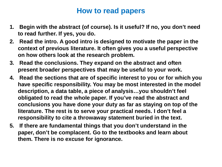#### **How to read papers**

- **1. Begin with the abstract (of course). Is it useful? If no, you don't need to read further. If yes, you do.**
- **2. Read the intro. A good intro is designed to motivate the paper in the context of previous literature. It often gives you a useful perspective on how others look at the research problem.**
- **3. Read the conclusions. They expand on the abstract and often present broader perspectives that may be useful to your work.**
- **4. Read the sections that are of specific interest to you or for which you have specific responsibility. You may be most interested in the model description, a data table, a piece of analysis…you shouldn't feel obligated to read the whole paper. If you've read the abstract and conclusions you have done your duty as far as staying on top of the literature. The rest is to serve your practical needs. I don't feel a responsibility to cite a throwaway statement buried in the text.**
- **5. If there are fundamental things that you don't understand in the paper, don't be complacent. Go to the textbooks and learn about them. There is no excuse for ignorance.**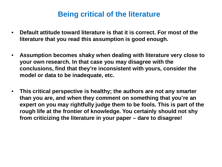#### **Being critical of the literature**

- **Default attitude toward literature is that it is correct. For most of the literature that you read this assumption is good enough.**
- **Assumption becomes shaky when dealing with literature very close to your own research. In that case you may disagree with the conclusions, find that they're inconsistent with yours, consider the model or data to be inadequate, etc.**
- **This critical perspective is healthy; the authors are not any smarter than you are, and when they comment on something that you're an expert on you may rightfully judge them to be fools. This is part of the rough life at the frontier of knowledge. You certainly should not shy from criticizing the literature in your paper – dare to disagree!**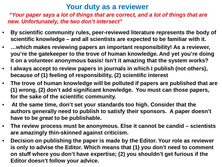#### **Your duty as a reviewer**

*"Your paper says a lot of things that are correct, and a lot of things that are new. Unfortunately, the two don't intersect"*

- **By scientific community rules, peer-reviewed literature represents the body of scientific knowledge – and all scientists are expected to be familiar with it.**
- **…which makes reviewing papers an important responsibility! As a reviewer, you're the gatekeeper to the trove of human knowledge. And yet you're doing it on a volunteer anonymous basis! Isn't it amazing that the system works?**
- **I always accept to review papers in journals in which I publish (not others), because of (1) feeling of responsibility, (2) scientific interest**
- **The trove of human knowledge will be polluted if papers are published that are (1) wrong, (2) don't add significant knowledge. You must can those papers, for the sake of the scientific community.**
- **At the same time, don't set your standards too high. Consider that the authors generally need to publish to satisfy their sponsors. A paper doesn't have to be** *great* **to be publishable.**
- **The review process must be anonymous. Else it cannot be candid – scientists are amazingly thin-skinned against criticism.**
- **Decision on publishing the paper is made by the Editor. Your role as reviewer is only to advise the Editor. Which means that (1) you don't need to comment on stuff where you don't have expertise; (2) you shouldn't get furious if the Editor doesn't follow your advice.**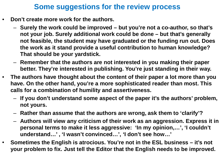## **Some suggestions for the review process**

- **Don't create more work for the authors.**
	- **Surely the work could be improved – but you're not a co-author, so that's not your job. Surely additional work could be done – but that's generally not feasible, the student may have graduated or the funding run out. Does the work as it stand provide a useful contribution to human knowledge? That should be your yardstick.**
	- **Remember that the authors are not interested in you making their paper better. They're interested in publishing. You're just standing in their way.**
- **The authors have thought about the content of their paper a lot more than you have. On the other hand, you're a more sophisticated reader than most. This calls for a combination of humility and assertiveness.**
	- **If you don't understand some aspect of the paper it's the authors' problem, not yours.**
	- **Rather than assume that the authors are wrong, ask them to 'clarify'?**
	- **Authors will view any criticism of their work as an aggression. Express it in personal terms to make it less aggressive: 'In my opinion,…', 'I couldn't understand…' , 'I wasn't convinced…', 'I don't see how…'**
- **Sometimes the English is atrocious. You're not in the ESL business – it's not your problem to fix. Just tell the Editor that the English needs to be improved.**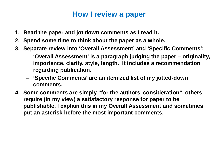#### **How I review a paper**

- **1. Read the paper and jot down comments as I read it.**
- **2. Spend some time to think about the paper as a whole.**
- **3. Separate review into 'Overall Assessment' and 'Specific Comments':**
	- **'Overall Assessment' is a paragraph judging the paper – originality, importance, clarity, style, length. It includes a recommendation regarding publication.**
	- **'Specific Comments' are an itemized list of my jotted-down comments.**
- **4. Some comments are simply "for the authors' consideration", others require (in my view) a satisfactory response for paper to be publishable. I explain this in my Overall Assessment and sometimes put an asterisk before the most important comments.**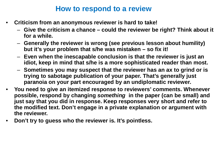#### **How to respond to a review**

- **Criticism from an anonymous reviewer is hard to take!**
	- **Give the criticism a chance – could the reviewer be right? Think about it for a while.**
	- **Generally the reviewer is wrong (see previous lesson about humility) but it's your problem that s/he was mistaken – so fix it!**
	- **Even when the inescapable conclusion is that the reviewer is just an idiot, keep in mind that s/he is a more sophisticated reader than most.**
	- **Sometimes you may suspect that the reviewer has an ax to grind or is trying to sabotage publication of your paper. That's generally just paranoia on your part encouraged by an undiplomatic reviewer.**
- **You need to give an itemized response to reviewers' comments. Whenever possible, respond by changing** *something* **in the paper (can be small) and just say that you did in response. Keep responses very short and refer to the modified text. Don't engage in a private explanation or argument with the reviewer.**
- **Don't try to guess who the reviewer is. It's pointless.**